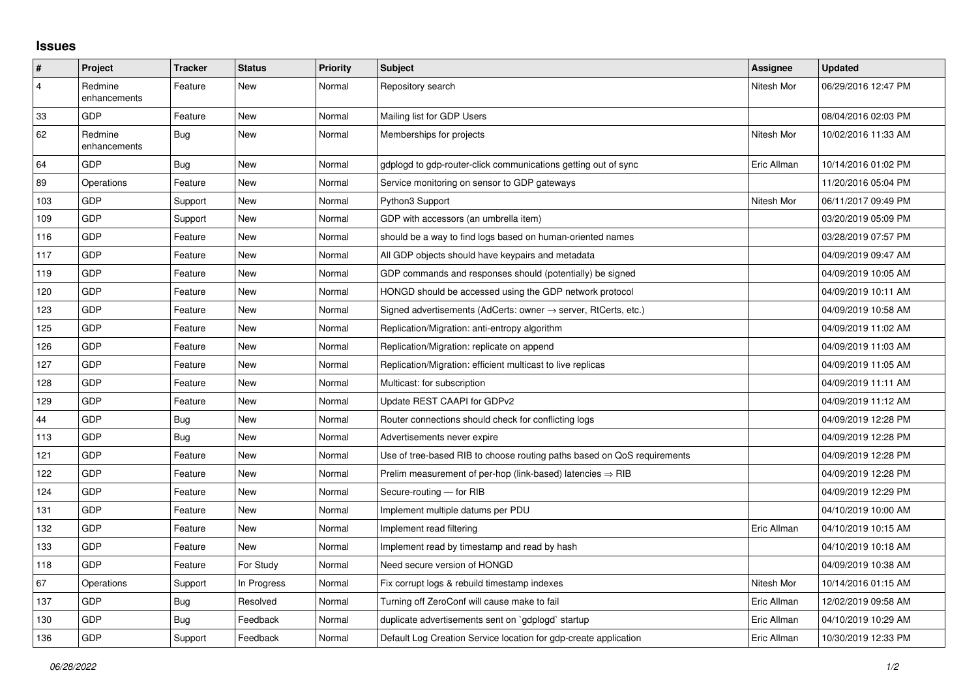## **Issues**

| #   | Project                 | <b>Tracker</b> | <b>Status</b> | <b>Priority</b> | <b>Subject</b>                                                             | Assignee    | <b>Updated</b>      |
|-----|-------------------------|----------------|---------------|-----------------|----------------------------------------------------------------------------|-------------|---------------------|
| 4   | Redmine<br>enhancements | Feature        | New           | Normal          | Repository search                                                          | Nitesh Mor  | 06/29/2016 12:47 PM |
| 33  | GDP                     | Feature        | <b>New</b>    | Normal          | Mailing list for GDP Users                                                 |             | 08/04/2016 02:03 PM |
| 62  | Redmine<br>enhancements | Bug            | New           | Normal          | Memberships for projects                                                   | Nitesh Mor  | 10/02/2016 11:33 AM |
| 64  | GDP                     | <b>Bug</b>     | <b>New</b>    | Normal          | gdplogd to gdp-router-click communications getting out of sync             | Eric Allman | 10/14/2016 01:02 PM |
| 89  | Operations              | Feature        | <b>New</b>    | Normal          | Service monitoring on sensor to GDP gateways                               |             | 11/20/2016 05:04 PM |
| 103 | <b>GDP</b>              | Support        | New           | Normal          | Python3 Support                                                            | Nitesh Mor  | 06/11/2017 09:49 PM |
| 109 | GDP                     | Support        | New           | Normal          | GDP with accessors (an umbrella item)                                      |             | 03/20/2019 05:09 PM |
| 116 | GDP                     | Feature        | New           | Normal          | should be a way to find logs based on human-oriented names                 |             | 03/28/2019 07:57 PM |
| 117 | GDP                     | Feature        | New           | Normal          | All GDP objects should have keypairs and metadata                          |             | 04/09/2019 09:47 AM |
| 119 | GDP                     | Feature        | <b>New</b>    | Normal          | GDP commands and responses should (potentially) be signed                  |             | 04/09/2019 10:05 AM |
| 120 | GDP                     | Feature        | <b>New</b>    | Normal          | HONGD should be accessed using the GDP network protocol                    |             | 04/09/2019 10:11 AM |
| 123 | GDP                     | Feature        | <b>New</b>    | Normal          | Signed advertisements (AdCerts: owner $\rightarrow$ server, RtCerts, etc.) |             | 04/09/2019 10:58 AM |
| 125 | GDP                     | Feature        | <b>New</b>    | Normal          | Replication/Migration: anti-entropy algorithm                              |             | 04/09/2019 11:02 AM |
| 126 | GDP                     | Feature        | <b>New</b>    | Normal          | Replication/Migration: replicate on append                                 |             | 04/09/2019 11:03 AM |
| 127 | GDP                     | Feature        | <b>New</b>    | Normal          | Replication/Migration: efficient multicast to live replicas                |             | 04/09/2019 11:05 AM |
| 128 | GDP                     | Feature        | New           | Normal          | Multicast: for subscription                                                |             | 04/09/2019 11:11 AM |
| 129 | GDP                     | Feature        | <b>New</b>    | Normal          | Update REST CAAPI for GDPv2                                                |             | 04/09/2019 11:12 AM |
| 44  | GDP                     | Bug            | <b>New</b>    | Normal          | Router connections should check for conflicting logs                       |             | 04/09/2019 12:28 PM |
| 113 | GDP                     | <b>Bug</b>     | New           | Normal          | Advertisements never expire                                                |             | 04/09/2019 12:28 PM |
| 121 | GDP                     | Feature        | <b>New</b>    | Normal          | Use of tree-based RIB to choose routing paths based on QoS requirements    |             | 04/09/2019 12:28 PM |
| 122 | GDP                     | Feature        | <b>New</b>    | Normal          | Prelim measurement of per-hop (link-based) latencies $\Rightarrow$ RIB     |             | 04/09/2019 12:28 PM |
| 124 | GDP                     | Feature        | New           | Normal          | Secure-routing - for RIB                                                   |             | 04/09/2019 12:29 PM |
| 131 | GDP                     | Feature        | <b>New</b>    | Normal          | Implement multiple datums per PDU                                          |             | 04/10/2019 10:00 AM |
| 132 | GDP                     | Feature        | <b>New</b>    | Normal          | Implement read filtering                                                   | Eric Allman | 04/10/2019 10:15 AM |
| 133 | GDP                     | Feature        | New           | Normal          | Implement read by timestamp and read by hash                               |             | 04/10/2019 10:18 AM |
| 118 | GDP                     | Feature        | For Study     | Normal          | Need secure version of HONGD                                               |             | 04/09/2019 10:38 AM |
| 67  | Operations              | Support        | In Progress   | Normal          | Fix corrupt logs & rebuild timestamp indexes                               | Nitesh Mor  | 10/14/2016 01:15 AM |
| 137 | GDP                     | Bug            | Resolved      | Normal          | Turning off ZeroConf will cause make to fail                               | Eric Allman | 12/02/2019 09:58 AM |
| 130 | GDP                     | Bug            | Feedback      | Normal          | duplicate advertisements sent on `gdplogd` startup                         | Eric Allman | 04/10/2019 10:29 AM |
| 136 | GDP                     | Support        | Feedback      | Normal          | Default Log Creation Service location for gdp-create application           | Eric Allman | 10/30/2019 12:33 PM |